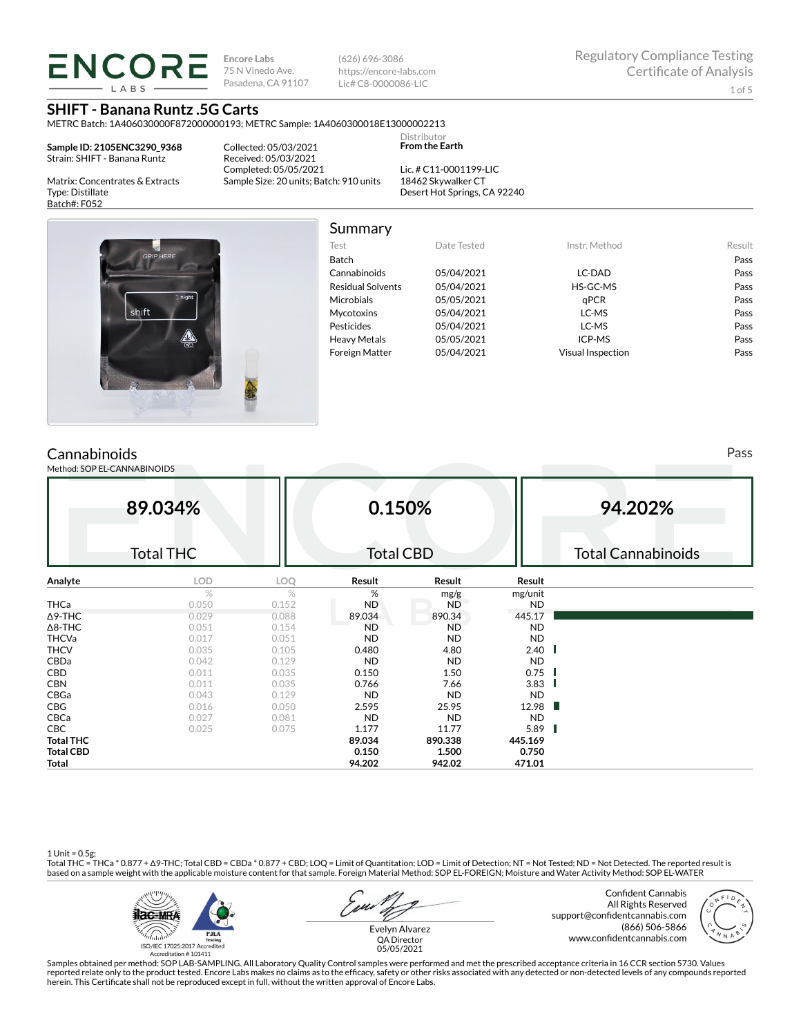**ENCORE Encore Labs** 75 N Vinedo Ave. Pasadena, CA 91107

(626) 696-3086 https://encore-labs.com Lic# C8-0000086-LIC

METRC Batch: 1A406030000F872000000193; METRC Sample: 1A4060300018E13000002213

**Sample ID: 2105ENC3290\_9368** Strain: SHIFT - Banana Runtz

**IARS** 

Matrix: Concentrates & Extracts

Type: Distillate Batch#: F052

Collected: 05/03/2021 Received: 05/03/2021 Completed: 05/05/2021 Sample Size: 20 units; Batch: 910 units

Lic. # C11-0001199-LIC 18462 Skywalker CT Desert Hot Springs, CA 92240

**Distributor From the Earth**



| Summary                  |             |                   |        |
|--------------------------|-------------|-------------------|--------|
| Test                     | Date Tested | Instr. Method     | Result |
| <b>Batch</b>             |             |                   | Pass   |
| Cannabinoids             | 05/04/2021  | LC-DAD            | Pass   |
| <b>Residual Solvents</b> | 05/04/2021  | HS-GC-MS          | Pass   |
| <b>Microbials</b>        | 05/05/2021  | aPCR              | Pass   |
| <b>Mycotoxins</b>        | 05/04/2021  | LC-MS             | Pass   |
| Pesticides               | 05/04/2021  | LC-MS             | Pass   |
| <b>Heavy Metals</b>      | 05/05/2021  | ICP-MS            | Pass   |
| <b>Foreign Matter</b>    | 05/04/2021  | Visual Inspection | Pass   |

# **Cannabinoids**

Method: SOP EL-CANNABINOIDS

**89.034%** Total THC **0.150%** Total CBD **94.202%** Total Cannabinoids **Analyte LOD LOQ Result Result Result**  $\%$  % % mg/g mg/unit<br>0.050 0.152 ND ND ND **THCa** 0.050 0.152 ND ND ND ND Δ9-THC 0.029 0.088 89.034 890.34 445.17 Δ8-THC 0.051 0.154 ND ND ND THCVa 0.017 0.051 ND ND ND THCV 0.035 0.105 0.480 4.80 2.40 CBDa 0.042 0.129 ND ND ND **CBD** 0.011 0.035 **0.150 1.50 0.75 CBN** 0.011 0.035 **0.766 7.66 3.83** CBGa 0.043 0.129 ND ND ND **CBG** 0.016 0.016 0.050 **2.595 25.95 12.98** CBCa 0.027 0.081 ND ND ND **CBC** 0.025 0.025 0.075 **1.177 11.77 5.89 Total THC 89.034 890.338 445.169 Total CBD 0.150 1.500 0.750 Total 94.202 942.02 471.01**

1 Unit = 0.5g;<br>Total THC = THCa \* 0.877 + ∆9-THC; Total CBD = CBDa \* 0.877 + CBD; LOQ = Limit of Quantitation; LOD = Limit of Detection; NT = Not Tested; ND = Not Detected. The reported result is based on a sample weight with the applicable moisture content for that sample. Foreign Material Method: SOP EL-FOREIGN; Moisture and Water Activity Method: SOP EL-WATER



Confident Cannabis All Rights Reserved support@confidentcannabis.com (866) 506-5866 www.confidentcannabis.com



Evelyn Alvarez QA Director 05/05/2021

Samples obtained per method: SOP LAB-SAMPLING. All Laboratory Quality Control samples were performed and met the prescribed acceptance criteria in 16 CCR section 5730. Values reported relate only to the product tested. Encore Labs makes no claims as to the efficacy, safety or other risks associated with any detected or non-detected levels of any compounds reported<br>herein. This Certificate shall

Pass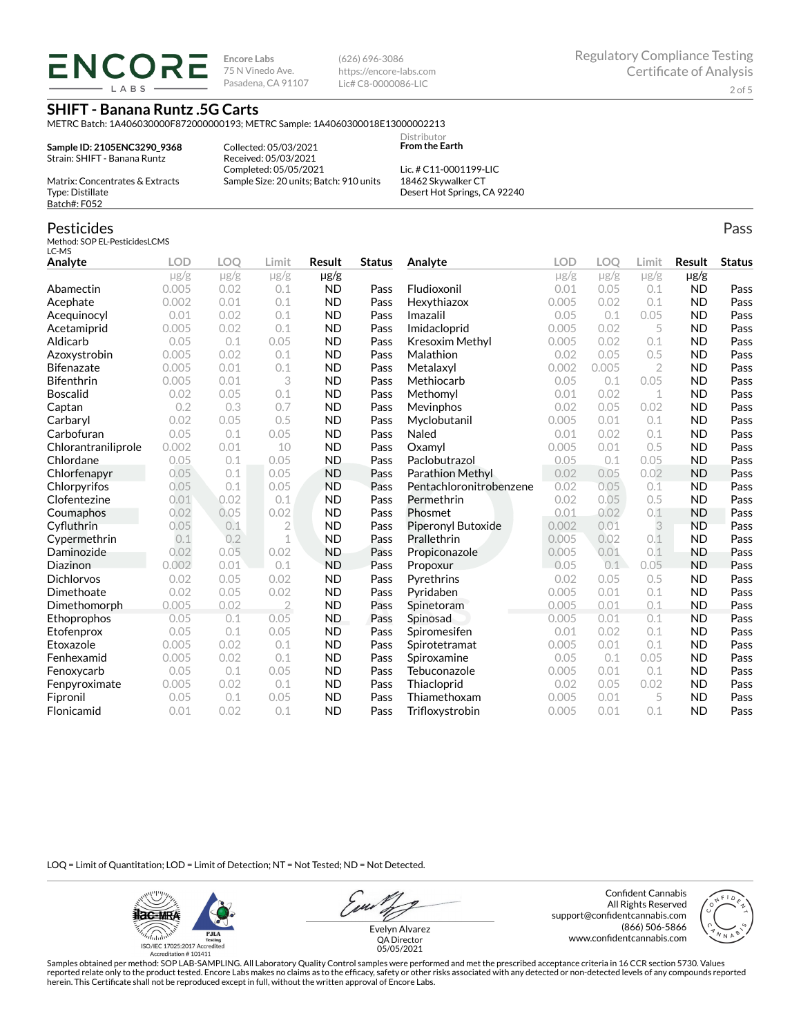**ENCORI** LABS

**Encore Labs** 75 N Vinedo Ave. Pasadena, CA 91107 (626) 696-3086 https://encore-labs.com Lic# C8-0000086-LIC

> Distributor **From the Earth**

### **SHIFT - Banana Runtz .5G Carts**

METRC Batch: 1A406030000F872000000193; METRC Sample: 1A4060300018E13000002213

**Sample ID: 2105ENC3290\_9368** Strain: SHIFT - Banana Runtz

Collected: 05/03/2021 Received: 05/03/2021 Completed: 05/05/2021 Sample Size: 20 units; Batch: 910 units

Lic. # C11-0001199-LIC 18462 Skywalker CT Desert Hot Springs, CA 92240

Matrix: Concentrates & Extracts Type: Distillate Batch#: F052

#### Pesticides

Method: SOP EL-PesticidesLCMS LC-MS

| Analyte             | <b>LOD</b> | LOO       | Limit          | <b>Result</b> | <b>Status</b> | Analyte                 | LOD       | LOO       | Limit          | <b>Result</b> | <b>Status</b> |
|---------------------|------------|-----------|----------------|---------------|---------------|-------------------------|-----------|-----------|----------------|---------------|---------------|
|                     | $\mu$ g/g  | $\mu$ g/g | $\mu$ g/g      | $\mu$ g/g     |               |                         | $\mu$ g/g | $\mu$ g/g | $\mu$ g/g      | $\mu$ g/g     |               |
| Abamectin           | 0.005      | 0.02      | 0.1            | <b>ND</b>     | Pass          | Fludioxonil             | 0.01      | 0.05      | 0.1            | <b>ND</b>     | Pass          |
| Acephate            | 0.002      | 0.01      | 0.1            | <b>ND</b>     | Pass          | Hexythiazox             | 0.005     | 0.02      | 0.1            | <b>ND</b>     | Pass          |
| Acequinocyl         | 0.01       | 0.02      | 0.1            | <b>ND</b>     | Pass          | Imazalil                | 0.05      | 0.1       | 0.05           | <b>ND</b>     | Pass          |
| Acetamiprid         | 0.005      | 0.02      | 0.1            | <b>ND</b>     | Pass          | Imidacloprid            | 0.005     | 0.02      | 5              | <b>ND</b>     | Pass          |
| Aldicarb            | 0.05       | 0.1       | 0.05           | <b>ND</b>     | Pass          | <b>Kresoxim Methyl</b>  | 0.005     | 0.02      | 0.1            | <b>ND</b>     | Pass          |
| Azoxystrobin        | 0.005      | 0.02      | 0.1            | <b>ND</b>     | Pass          | Malathion               | 0.02      | 0.05      | 0.5            | <b>ND</b>     | Pass          |
| <b>Bifenazate</b>   | 0.005      | 0.01      | 0.1            | <b>ND</b>     | Pass          | Metalaxyl               | 0.002     | 0.005     | $\overline{2}$ | <b>ND</b>     | Pass          |
| <b>Bifenthrin</b>   | 0.005      | 0.01      | 3              | <b>ND</b>     | Pass          | Methiocarb              | 0.05      | 0.1       | 0.05           | <b>ND</b>     | Pass          |
| <b>Boscalid</b>     | 0.02       | 0.05      | 0.1            | <b>ND</b>     | Pass          | Methomyl                | 0.01      | 0.02      | $\mathbf 1$    | <b>ND</b>     | Pass          |
| Captan              | 0.2        | 0.3       | 0.7            | <b>ND</b>     | Pass          | Mevinphos               | 0.02      | 0.05      | 0.02           | <b>ND</b>     | Pass          |
| Carbaryl            | 0.02       | 0.05      | 0.5            | <b>ND</b>     | Pass          | Myclobutanil            | 0.005     | 0.01      | 0.1            | <b>ND</b>     | Pass          |
| Carbofuran          | 0.05       | 0.1       | 0.05           | <b>ND</b>     | Pass          | Naled                   | 0.01      | 0.02      | 0.1            | <b>ND</b>     | Pass          |
| Chlorantraniliprole | 0.002      | 0.01      | 10             | <b>ND</b>     | Pass          | Oxamyl                  | 0.005     | 0.01      | 0.5            | <b>ND</b>     | Pass          |
| Chlordane           | 0.05       | 0.1       | 0.05           | <b>ND</b>     | Pass          | Paclobutrazol           | 0.05      | 0.1       | 0.05           | <b>ND</b>     | Pass          |
| Chlorfenapyr        | 0.05       | 0.1       | 0.05           | <b>ND</b>     | Pass          | Parathion Methyl        | 0.02      | 0.05      | 0.02           | <b>ND</b>     | Pass          |
| Chlorpyrifos        | 0.05       | 0.1       | 0.05           | <b>ND</b>     | Pass          | Pentachloronitrobenzene | 0.02      | 0.05      | 0.1            | <b>ND</b>     | Pass          |
| Clofentezine        | 0.01       | 0.02      | 0.1            | <b>ND</b>     | Pass          | Permethrin              | 0.02      | 0.05      | 0.5            | <b>ND</b>     | Pass          |
| Coumaphos           | 0.02       | 0.05      | 0.02           | <b>ND</b>     | Pass          | Phosmet                 | 0.01      | 0.02      | 0.1            | <b>ND</b>     | Pass          |
| Cyfluthrin          | 0.05       | 0.1       | $\overline{2}$ | <b>ND</b>     | Pass          | Piperonyl Butoxide      | 0.002     | 0.01      | 3              | <b>ND</b>     | Pass          |
| Cypermethrin        | 0.1        | 0.2       | $\mathbf 1$    | <b>ND</b>     | Pass          | Prallethrin             | 0.005     | 0.02      | 0.1            | <b>ND</b>     | Pass          |
| Daminozide          | 0.02       | 0.05      | 0.02           | <b>ND</b>     | Pass          | Propiconazole           | 0.005     | 0.01      | 0.1            | <b>ND</b>     | Pass          |
| Diazinon            | 0.002      | 0.01      | 0.1            | <b>ND</b>     | Pass          | Propoxur                | 0.05      | 0.1       | 0.05           | <b>ND</b>     | Pass          |
| <b>Dichlorvos</b>   | 0.02       | 0.05      | 0.02           | <b>ND</b>     | Pass          | Pyrethrins              | 0.02      | 0.05      | 0.5            | <b>ND</b>     | Pass          |
| Dimethoate          | 0.02       | 0.05      | 0.02           | <b>ND</b>     | Pass          | Pyridaben               | 0.005     | 0.01      | 0.1            | <b>ND</b>     | Pass          |
| Dimethomorph        | 0.005      | 0.02      | $\overline{2}$ | <b>ND</b>     | Pass          | Spinetoram              | 0.005     | 0.01      | 0.1            | <b>ND</b>     | Pass          |
| Ethoprophos         | 0.05       | 0.1       | 0.05           | <b>ND</b>     | Pass          | Spinosad                | 0.005     | 0.01      | 0.1            | <b>ND</b>     | Pass          |
| Etofenprox          | 0.05       | 0.1       | 0.05           | <b>ND</b>     | Pass          | Spiromesifen            | 0.01      | 0.02      | 0.1            | <b>ND</b>     | Pass          |
| Etoxazole           | 0.005      | 0.02      | 0.1            | <b>ND</b>     | Pass          | Spirotetramat           | 0.005     | 0.01      | 0.1            | <b>ND</b>     | Pass          |
| Fenhexamid          | 0.005      | 0.02      | 0.1            | <b>ND</b>     | Pass          | Spiroxamine             | 0.05      | 0.1       | 0.05           | <b>ND</b>     | Pass          |
| Fenoxycarb          | 0.05       | 0.1       | 0.05           | <b>ND</b>     | Pass          | Tebuconazole            | 0.005     | 0.01      | 0.1            | <b>ND</b>     | Pass          |
| Fenpyroximate       | 0.005      | 0.02      | 0.1            | <b>ND</b>     | Pass          | Thiacloprid             | 0.02      | 0.05      | 0.02           | <b>ND</b>     | Pass          |
| Fipronil            | 0.05       | 0.1       | 0.05           | <b>ND</b>     | Pass          | Thiamethoxam            | 0.005     | 0.01      | 5              | <b>ND</b>     | Pass          |
| Flonicamid          | 0.01       | 0.02      | 0.1            | <b>ND</b>     | Pass          | Trifloxystrobin         | 0.005     | 0.01      | 0.1            | <b>ND</b>     | Pass          |

LOQ = Limit of Quantitation; LOD = Limit of Detection; NT = Not Tested; ND = Not Detected.

**Hac-MRA PJLA** alahin Testing<br>ISO/IEC 17025:2017 Accredited<br>Accreditation # 101411

Evelyn Alvarez

Confident Cannabis All Rights Reserved support@confidentcannabis.com (866) 506-5866 www.confidentcannabis.com



QA Director 05/05/2021

Samples obtained per method: SOP LAB-SAMPLING. All Laboratory Quality Control samples were performed and met the prescribed acceptance criteria in 16 CCR section 5730. Values reported relate only to the product tested. Encore Labs makes no claims as to the efficacy, safety or other risks associated with any detected or non-detected levels of any compounds reported<br>herein. This Certificate shall

Pass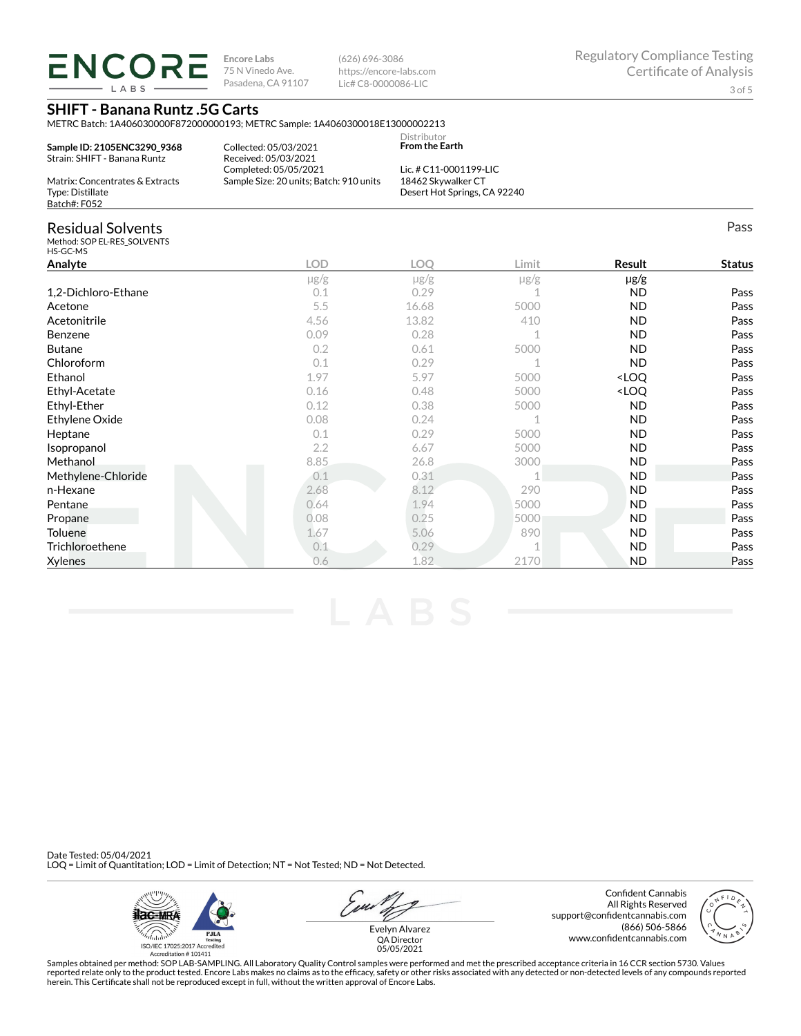**ENCORE Encore Labs** 75 N Vinedo Ave. Pasadena, CA 91107 LABS

(626) 696-3086 https://encore-labs.com Lic# C8-0000086-LIC

# **SHIFT - Banana Runtz .5G Carts**

METRC Batch: 1A406030000F872000000193; METRC Sample: 1A4060300018E13000002213

Collected: 05/03/2021 Received: 05/03/2021

**Sample ID: 2105ENC3290\_9368** Strain: SHIFT - Banana Runtz

Distributor **From the Earth**

| Completed: 05/05/2021<br>Matrix: Concentrates & Extracts<br>Type: Distillate | <b>JU ATT. JETTER DATAIRE IN THE</b> | R <sub>2</sub>                          |
|------------------------------------------------------------------------------|--------------------------------------|-----------------------------------------|
|                                                                              |                                      |                                         |
|                                                                              |                                      | Sample Size: 20 units; Batch: 910 units |
|                                                                              |                                      |                                         |
|                                                                              | Batch#: F052                         |                                         |

Lic. # C11-0001199-LIC 18462 Skywalker CT Desert Hot Springs, CA 92240

# Residual Solvents

Method: SOP EL-RES\_SOLVENTS HS-GC-MS

| Analyte             | <b>LOD</b> | <b>LOQ</b> | Limit     | Result                           | <b>Status</b> |
|---------------------|------------|------------|-----------|----------------------------------|---------------|
|                     | $\mu$ g/g  | $\mu$ g/g  | $\mu$ g/g | µg/g                             |               |
| 1,2-Dichloro-Ethane | 0.1        | 0.29       |           | ND.                              | Pass          |
| Acetone             | 5.5        | 16.68      | 5000      | <b>ND</b>                        | Pass          |
| Acetonitrile        | 4.56       | 13.82      | 410       | ND.                              | Pass          |
| Benzene             | 0.09       | 0.28       |           | ND.                              | Pass          |
| <b>Butane</b>       | 0.2        | 0.61       | 5000      | <b>ND</b>                        | Pass          |
| Chloroform          | 0.1        | 0.29       |           | ND.                              | Pass          |
| Ethanol             | 1.97       | 5.97       | 5000      | <loq< td=""><td>Pass</td></loq<> | Pass          |
| Ethyl-Acetate       | 0.16       | 0.48       | 5000      | <loq< td=""><td>Pass</td></loq<> | Pass          |
| Ethyl-Ether         | 0.12       | 0.38       | 5000      | <b>ND</b>                        | Pass          |
| Ethylene Oxide      | 0.08       | 0.24       |           | ND.                              | Pass          |
| Heptane             | 0.1        | 0.29       | 5000      | <b>ND</b>                        | Pass          |
| Isopropanol         | 2.2        | 6.67       | 5000      | <b>ND</b>                        | Pass          |
| Methanol            | 8.85       | 26.8       | 3000      | ND                               | Pass          |
| Methylene-Chloride  | 0.1        | 0.31       |           | <b>ND</b>                        | Pass          |
| n-Hexane            | 2.68       | 8.12       | 290       | <b>ND</b>                        | Pass          |
| Pentane             | 0.64       | 1.94       | 5000      | <b>ND</b>                        | Pass          |
| Propane             | 0.08       | 0.25       | 5000      | <b>ND</b>                        | Pass          |
| Toluene             | 1.67       | 5.06       | 890       | <b>ND</b>                        | Pass          |
| Trichloroethene     | 0.1        | 0.29       |           | <b>ND</b>                        | Pass          |
| <b>Xylenes</b>      | 0.6        | 1.82       | 2170      | <b>ND</b>                        | Pass          |

Date Tested: 05/04/2021 LOQ = Limit of Quantitation; LOD = Limit of Detection; NT = Not Tested; ND = Not Detected.



u Evelyn Alvarez

Confident Cannabis All Rights Reserved support@confidentcannabis.com (866) 506-5866 www.confidentcannabis.com



QA Director 05/05/2021

Samples obtained per method: SOP LAB-SAMPLING. All Laboratory Quality Control samples were performed and met the prescribed acceptance criteria in 16 CCR section 5730. Values reported relate only to the product tested. Encore Labs makes no claims as to the efficacy, safety or other risks associated with any detected or non-detected levels of any compounds reported<br>herein. This Certificate shall

Pass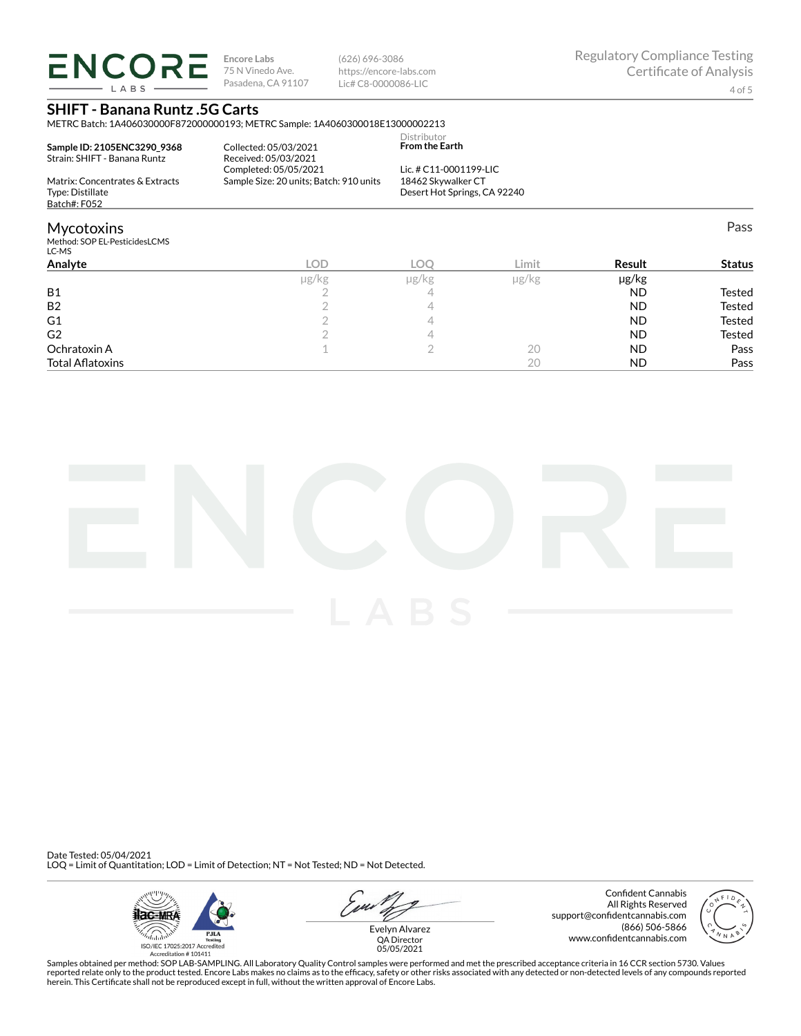**ENCORE** LABS

**Encore Labs** 75 N Vinedo Ave. Pasadena, CA 91107 (626) 696-3086 https://encore-labs.com Lic# C8-0000086-LIC

Distributor

Pass

# **SHIFT - Banana Runtz .5G Carts**

METRC Batch: 1A406030000F872000000193; METRC Sample: 1A4060300018E13000002213

| Sample ID: 2105ENC3290 9368<br>Strain: SHIFT - Banana Runtz | Collected: 05/03/2021<br>Received: 05/03/2021 | <b>From the Earth</b>                              |
|-------------------------------------------------------------|-----------------------------------------------|----------------------------------------------------|
|                                                             | Completed: 05/05/2021                         | Lic. # $C11-0001199-LLC$                           |
| Matrix: Concentrates & Extracts<br>Type: Distillate         | Sample Size: 20 units; Batch: 910 units       | 18462 Skywalker CT<br>Desert Hot Springs, CA 92240 |
| Batch#: F052                                                |                                               |                                                    |

## Mycotoxins

Method: SOP EL-PesticidesLCMS LC-MS

| ייי ש                   |       |       |            |           |               |
|-------------------------|-------|-------|------------|-----------|---------------|
| Analyte                 | LOD   | LOC   | Limit      | Result    | <b>Status</b> |
|                         | µg/kg | µg/kg | $\mu$ g/kg | µg/kg     |               |
| <b>B1</b>               |       | -     |            | <b>ND</b> | Tested        |
| <b>B2</b>               |       |       |            | <b>ND</b> | <b>Tested</b> |
| G1                      |       |       |            | <b>ND</b> | Tested        |
| G <sub>2</sub>          |       |       |            | <b>ND</b> | Tested        |
| Ochratoxin A            |       |       | 20         | <b>ND</b> | Pass          |
| <b>Total Aflatoxins</b> |       |       | 20         | <b>ND</b> | Pass          |
|                         |       |       |            |           |               |



Date Tested: 05/04/2021 LOQ = Limit of Quantitation; LOD = Limit of Detection; NT = Not Tested; ND = Not Detected.



u Evelyn Alvarez

Confident Cannabis All Rights Reserved support@confidentcannabis.com (866) 506-5866 www.confidentcannabis.com



QA Director 05/05/2021

Samples obtained per method: SOP LAB-SAMPLING. All Laboratory Quality Control samples were performed and met the prescribed acceptance criteria in 16 CCR section 5730. Values reported relate only to the product tested. Encore Labs makes no claims as to the efficacy, safety or other risks associated with any detected or non-detected levels of any compounds reported<br>herein. This Certificate shall